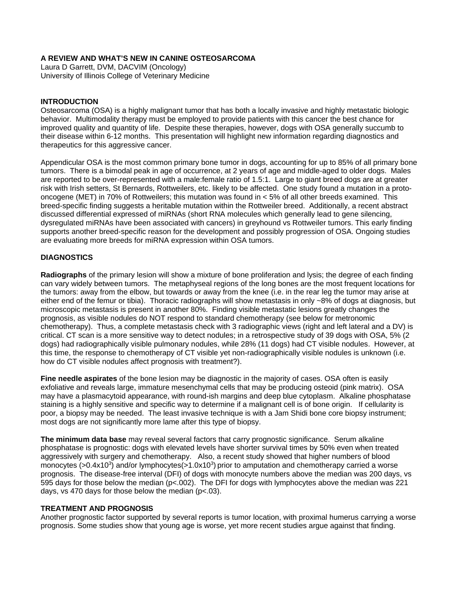# **A REVIEW AND WHAT'S NEW IN CANINE OSTEOSARCOMA**

Laura D Garrett, DVM, DACVIM (Oncology) University of Illinois College of Veterinary Medicine

## **INTRODUCTION**

Osteosarcoma (OSA) is a highly malignant tumor that has both a locally invasive and highly metastatic biologic behavior. Multimodality therapy must be employed to provide patients with this cancer the best chance for improved quality and quantity of life. Despite these therapies, however, dogs with OSA generally succumb to their disease within 6-12 months. This presentation will highlight new information regarding diagnostics and therapeutics for this aggressive cancer.

Appendicular OSA is the most common primary bone tumor in dogs, accounting for up to 85% of all primary bone tumors. There is a bimodal peak in age of occurrence, at 2 years of age and middle-aged to older dogs. Males are reported to be over-represented with a male:female ratio of 1.5:1. Large to giant breed dogs are at greater risk with Irish setters, St Bernards, Rottweilers, etc. likely to be affected. One study found a mutation in a protooncogene (MET) in 70% of Rottweilers; this mutation was found in < 5% of all other breeds examined. This breed-specific finding suggests a heritable mutation within the Rottweiler breed. Additionally, a recent abstract discussed differential expressed of miRNAs (short RNA molecules which generally lead to gene silencing, dysregulated miRNAs have been associated with cancers) in greyhound vs Rottweiler tumors. This early finding supports another breed-specific reason for the development and possibly progression of OSA. Ongoing studies are evaluating more breeds for miRNA expression within OSA tumors.

## **DIAGNOSTICS**

**Radiographs** of the primary lesion will show a mixture of bone proliferation and lysis; the degree of each finding can vary widely between tumors. The metaphyseal regions of the long bones are the most frequent locations for the tumors: away from the elbow, but towards or away from the knee (i.e. in the rear leg the tumor may arise at either end of the femur or tibia). Thoracic radiographs will show metastasis in only ~8% of dogs at diagnosis, but microscopic metastasis is present in another 80%. Finding visible metastatic lesions greatly changes the prognosis, as visible nodules do NOT respond to standard chemotherapy (see below for metronomic chemotherapy). Thus, a complete metastasis check with 3 radiographic views (right and left lateral and a DV) is critical. CT scan is a more sensitive way to detect nodules; in a retrospective study of 39 dogs with OSA, 5% (2 dogs) had radiographically visible pulmonary nodules, while 28% (11 dogs) had CT visible nodules. However, at this time, the response to chemotherapy of CT visible yet non-radiographically visible nodules is unknown (i.e. how do CT visible nodules affect prognosis with treatment?).

**Fine needle aspirates** of the bone lesion may be diagnostic in the majority of cases. OSA often is easily exfoliative and reveals large, immature mesenchymal cells that may be producing osteoid (pink matrix). OSA may have a plasmacytoid appearance, with round-ish margins and deep blue cytoplasm. Alkaline phosphatase staining is a highly sensitive and specific way to determine if a malignant cell is of bone origin. If cellularity is poor, a biopsy may be needed. The least invasive technique is with a Jam Shidi bone core biopsy instrument; most dogs are not significantly more lame after this type of biopsy.

**The minimum data base** may reveal several factors that carry prognostic significance. Serum alkaline phosphatase is prognostic: dogs with elevated levels have shorter survival times by 50% even when treated aggressively with surgery and chemotherapy. Also, a recent study showed that higher numbers of blood monocytes ( $>0.4x10<sup>3</sup>$ ) and/or lymphocytes( $>1.0x10<sup>3</sup>$ ) prior to amputation and chemotherapy carried a worse prognosis. The disease-free interval (DFI) of dogs with monocyte numbers above the median was 200 days, vs 595 days for those below the median (p<.002). The DFI for dogs with lymphocytes above the median was 221 days, vs 470 days for those below the median  $(p<.03)$ .

#### **TREATMENT AND PROGNOSIS**

Another prognostic factor supported by several reports is tumor location, with proximal humerus carrying a worse prognosis. Some studies show that young age is worse, yet more recent studies argue against that finding.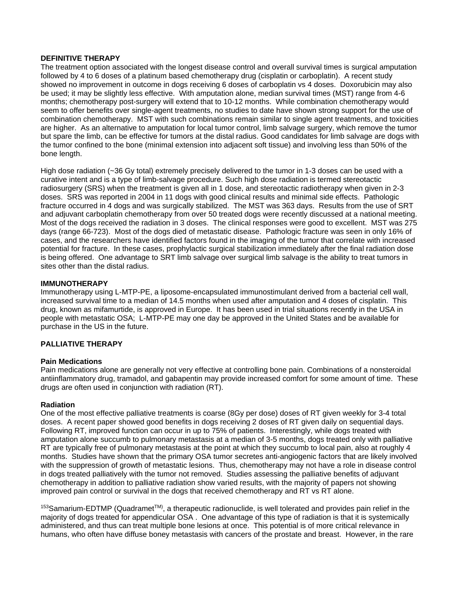### **DEFINITIVE THERAPY**

The treatment option associated with the longest disease control and overall survival times is surgical amputation followed by 4 to 6 doses of a platinum based chemotherapy drug (cisplatin or carboplatin). A recent study showed no improvement in outcome in dogs receiving 6 doses of carboplatin vs 4 doses. Doxorubicin may also be used; it may be slightly less effective. With amputation alone, median survival times (MST) range from 4-6 months; chemotherapy post-surgery will extend that to 10-12 months. While combination chemotherapy would seem to offer benefits over single-agent treatments, no studies to date have shown strong support for the use of combination chemotherapy. MST with such combinations remain similar to single agent treatments, and toxicities are higher. As an alternative to amputation for local tumor control, limb salvage surgery, which remove the tumor but spare the limb, can be effective for tumors at the distal radius. Good candidates for limb salvage are dogs with the tumor confined to the bone (minimal extension into adjacent soft tissue) and involving less than 50% of the bone length.

High dose radiation (~36 Gy total) extremely precisely delivered to the tumor in 1-3 doses can be used with a curative intent and is a type of limb-salvage procedure. Such high dose radiation is termed stereotactic radiosurgery (SRS) when the treatment is given all in 1 dose, and stereotactic radiotherapy when given in 2-3 doses. SRS was reported in 2004 in 11 dogs with good clinical results and minimal side effects. Pathologic fracture occurred in 4 dogs and was surgically stabilized. The MST was 363 days. Results from the use of SRT and adjuvant carboplatin chemotherapy from over 50 treated dogs were recently discussed at a national meeting. Most of the dogs received the radiation in 3 doses. The clinical responses were good to excellent. MST was 275 days (range 66-723). Most of the dogs died of metastatic disease. Pathologic fracture was seen in only 16% of cases, and the researchers have identified factors found in the imaging of the tumor that correlate with increased potential for fracture. In these cases, prophylactic surgical stabilization immediately after the final radiation dose is being offered. One advantage to SRT limb salvage over surgical limb salvage is the ability to treat tumors in sites other than the distal radius.

#### **IMMUNOTHERAPY**

Immunotherapy using L-MTP-PE, a liposome-encapsulated immunostimulant derived from a bacterial cell wall, increased survival time to a median of 14.5 months when used after amputation and 4 doses of cisplatin. This drug, known as mifamurtide, is approved in Europe. It has been used in trial situations recently in the USA in people with metastatic OSA; L-MTP-PE may one day be approved in the United States and be available for purchase in the US in the future.

### **PALLIATIVE THERAPY**

#### **Pain Medications**

Pain medications alone are generally not very effective at controlling bone pain. Combinations of a nonsteroidal antiinflammatory drug, tramadol, and gabapentin may provide increased comfort for some amount of time. These drugs are often used in conjunction with radiation (RT).

#### **Radiation**

One of the most effective palliative treatments is coarse (8Gy per dose) doses of RT given weekly for 3-4 total doses. A recent paper showed good benefits in dogs receiving 2 doses of RT given daily on sequential days. Following RT, improved function can occur in up to 75% of patients. Interestingly, while dogs treated with amputation alone succumb to pulmonary metastasis at a median of 3-5 months, dogs treated only with palliative RT are typically free of pulmonary metastasis at the point at which they succumb to local pain, also at roughly 4 months. Studies have shown that the primary OSA tumor secretes anti-angiogenic factors that are likely involved with the suppression of growth of metastatic lesions. Thus, chemotherapy may not have a role in disease control in dogs treated palliatively with the tumor not removed. Studies assessing the palliative benefits of adjuvant chemotherapy in addition to palliative radiation show varied results, with the majority of papers not showing improved pain control or survival in the dogs that received chemotherapy and RT vs RT alone.

<sup>153</sup>Samarium-EDTMP (Quadramet™), a therapeutic radionuclide, is well tolerated and provides pain relief in the majority of dogs treated for appendicular OSA . One advantage of this type of radiation is that it is systemically administered, and thus can treat multiple bone lesions at once. This potential is of more critical relevance in humans, who often have diffuse boney metastasis with cancers of the prostate and breast. However, in the rare